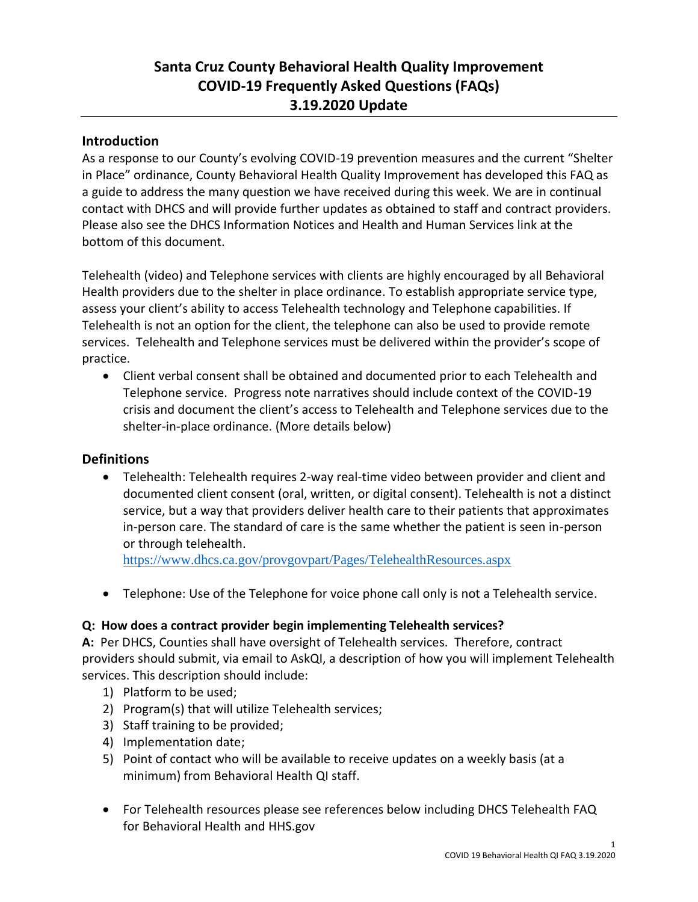# **Santa Cruz County Behavioral Health Quality Improvement COVID-19 Frequently Asked Questions (FAQs) 3.19.2020 Update**

### **Introduction**

As a response to our County's evolving COVID-19 prevention measures and the current "Shelter in Place" ordinance, County Behavioral Health Quality Improvement has developed this FAQ as a guide to address the many question we have received during this week. We are in continual contact with DHCS and will provide further updates as obtained to staff and contract providers. Please also see the DHCS Information Notices and Health and Human Services link at the bottom of this document.

Telehealth (video) and Telephone services with clients are highly encouraged by all Behavioral Health providers due to the shelter in place ordinance. To establish appropriate service type, assess your client's ability to access Telehealth technology and Telephone capabilities. If Telehealth is not an option for the client, the telephone can also be used to provide remote services. Telehealth and Telephone services must be delivered within the provider's scope of practice.

• Client verbal consent shall be obtained and documented prior to each Telehealth and Telephone service. Progress note narratives should include context of the COVID-19 crisis and document the client's access to Telehealth and Telephone services due to the shelter-in-place ordinance. (More details below)

### **Definitions**

• Telehealth: Telehealth requires 2-way real-time video between provider and client and documented client consent (oral, written, or digital consent). Telehealth is not a distinct service, but a way that providers deliver health care to their patients that approximates in-person care. The standard of care is the same whether the patient is seen in-person or through telehealth.

<https://www.dhcs.ca.gov/provgovpart/Pages/TelehealthResources.aspx>

• Telephone: Use of the Telephone for voice phone call only is not a Telehealth service.

#### **Q: How does a contract provider begin implementing Telehealth services?**

**A:** Per DHCS, Counties shall have oversight of Telehealth services. Therefore, contract providers should submit, via email to AskQI, a description of how you will implement Telehealth services. This description should include:

- 1) Platform to be used;
- 2) Program(s) that will utilize Telehealth services;
- 3) Staff training to be provided;
- 4) Implementation date;
- 5) Point of contact who will be available to receive updates on a weekly basis (at a minimum) from Behavioral Health QI staff.
- For Telehealth resources please see references below including DHCS Telehealth FAQ for Behavioral Health and HHS.gov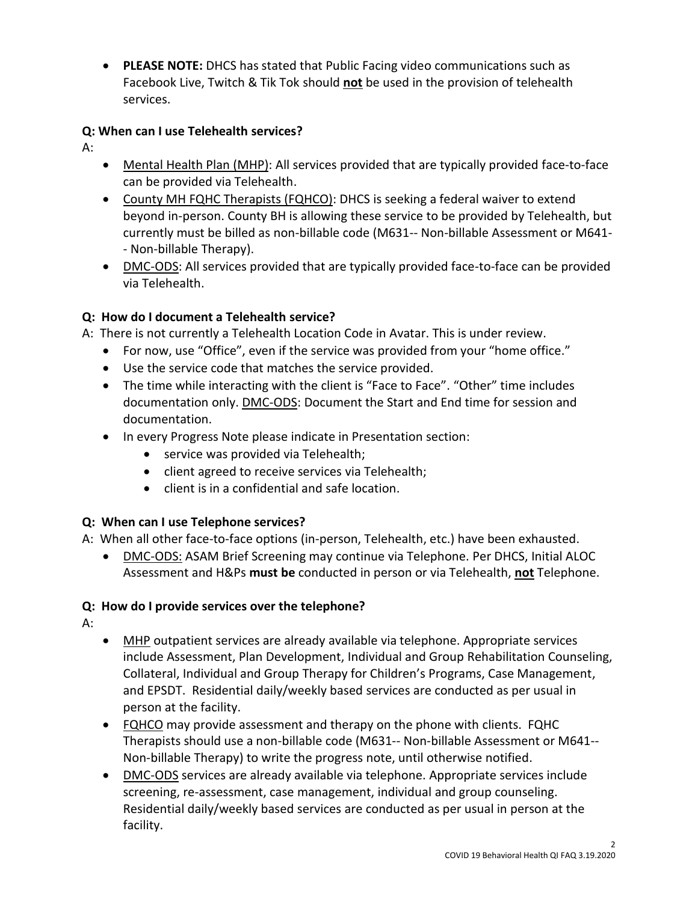• **PLEASE NOTE:** DHCS has stated that Public Facing video communications such as Facebook Live, Twitch & Tik Tok should **not** be used in the provision of telehealth services.

## **Q: When can I use Telehealth services?**

A:

- Mental Health Plan (MHP): All services provided that are typically provided face-to-face can be provided via Telehealth.
- County MH FQHC Therapists (FQHCO): DHCS is seeking a federal waiver to extend beyond in-person. County BH is allowing these service to be provided by Telehealth, but currently must be billed as non-billable code (M631-- Non-billable Assessment or M641- - Non-billable Therapy).
- DMC-ODS: All services provided that are typically provided face-to-face can be provided via Telehealth.

# **Q: How do I document a Telehealth service?**

A: There is not currently a Telehealth Location Code in Avatar. This is under review.

- For now, use "Office", even if the service was provided from your "home office."
- Use the service code that matches the service provided.
- The time while interacting with the client is "Face to Face". "Other" time includes documentation only. DMC-ODS: Document the Start and End time for session and documentation.
- In every Progress Note please indicate in Presentation section:
	- service was provided via Telehealth;
	- client agreed to receive services via Telehealth;
	- client is in a confidential and safe location.

# **Q: When can I use Telephone services?**

A: When all other face-to-face options (in-person, Telehealth, etc.) have been exhausted.

• DMC-ODS: ASAM Brief Screening may continue via Telephone. Per DHCS, Initial ALOC Assessment and H&Ps **must be** conducted in person or via Telehealth, **not** Telephone.

# **Q: How do I provide services over the telephone?**

A:

- MHP outpatient services are already available via telephone. Appropriate services include Assessment, Plan Development, Individual and Group Rehabilitation Counseling, Collateral, Individual and Group Therapy for Children's Programs, Case Management, and EPSDT. Residential daily/weekly based services are conducted as per usual in person at the facility.
- FQHCO may provide assessment and therapy on the phone with clients. FQHC Therapists should use a non-billable code (M631-- Non-billable Assessment or M641-- Non-billable Therapy) to write the progress note, until otherwise notified.
- DMC-ODS services are already available via telephone. Appropriate services include screening, re-assessment, case management, individual and group counseling. Residential daily/weekly based services are conducted as per usual in person at the facility.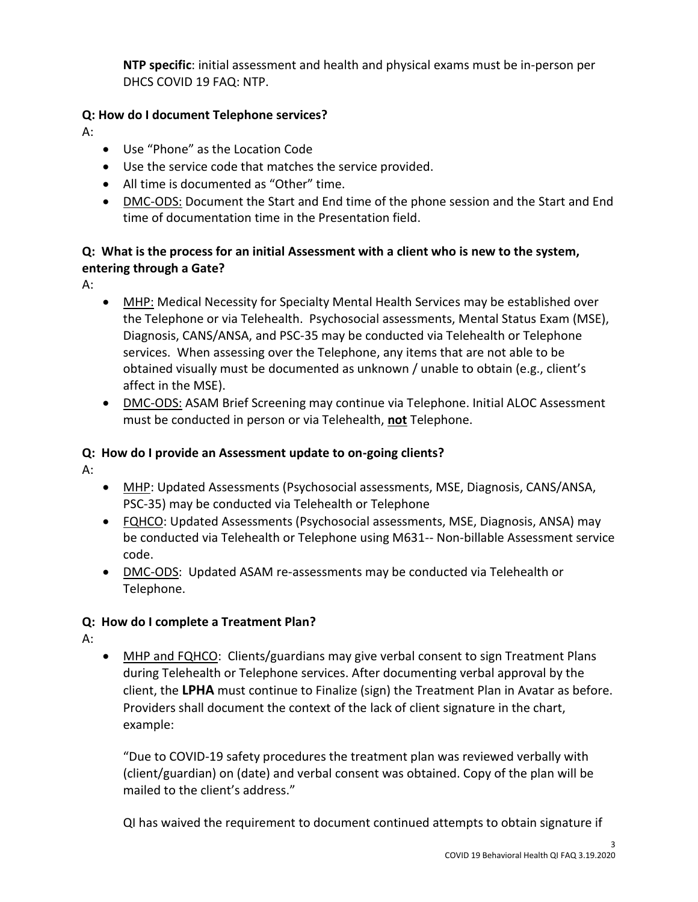**NTP specific**: initial assessment and health and physical exams must be in-person per DHCS COVID 19 FAQ: NTP.

## **Q: How do I document Telephone services?**

A:

- Use "Phone" as the Location Code
- Use the service code that matches the service provided.
- All time is documented as "Other" time.
- DMC-ODS: Document the Start and End time of the phone session and the Start and End time of documentation time in the Presentation field.

## **Q: What is the process for an initial Assessment with a client who is new to the system, entering through a Gate?**

A:

- MHP: Medical Necessity for Specialty Mental Health Services may be established over the Telephone or via Telehealth. Psychosocial assessments, Mental Status Exam (MSE), Diagnosis, CANS/ANSA, and PSC-35 may be conducted via Telehealth or Telephone services. When assessing over the Telephone, any items that are not able to be obtained visually must be documented as unknown / unable to obtain (e.g., client's affect in the MSE).
- DMC-ODS: ASAM Brief Screening may continue via Telephone. Initial ALOC Assessment must be conducted in person or via Telehealth, **not** Telephone.

### **Q: How do I provide an Assessment update to on-going clients?**

A:

- MHP: Updated Assessments (Psychosocial assessments, MSE, Diagnosis, CANS/ANSA, PSC-35) may be conducted via Telehealth or Telephone
- FQHCO: Updated Assessments (Psychosocial assessments, MSE, Diagnosis, ANSA) may be conducted via Telehealth or Telephone using M631-- Non-billable Assessment service code.
- DMC-ODS: Updated ASAM re-assessments may be conducted via Telehealth or Telephone.

# **Q: How do I complete a Treatment Plan?**

A:

• MHP and FQHCO: Clients/guardians may give verbal consent to sign Treatment Plans during Telehealth or Telephone services. After documenting verbal approval by the client, the **LPHA** must continue to Finalize (sign) the Treatment Plan in Avatar as before. Providers shall document the context of the lack of client signature in the chart, example:

"Due to COVID-19 safety procedures the treatment plan was reviewed verbally with (client/guardian) on (date) and verbal consent was obtained. Copy of the plan will be mailed to the client's address."

QI has waived the requirement to document continued attempts to obtain signature if